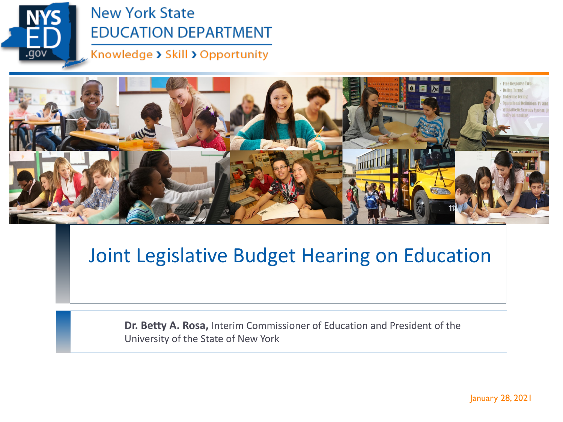

#### **New York State EDUCATION DEPARTMENT**

Knowledge > Skill > Opportunity



### Joint Legislative Budget Hearing on Education

**Dr. Betty A. Rosa,** Interim Commissioner of Education and President of the University of the State of New York

January 28, 2021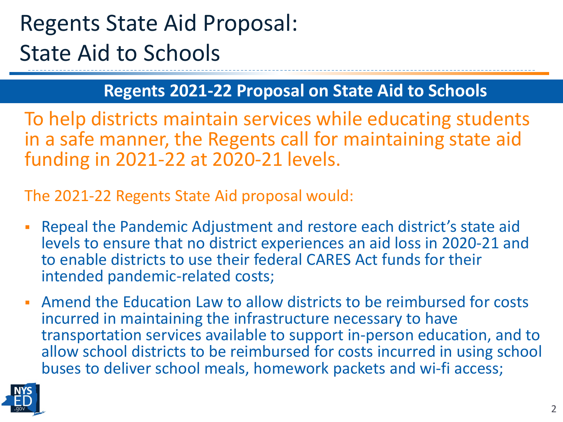# Regents State Aid Proposal: State Aid to Schools

#### **Regents 2021-22 Proposal on State Aid to Schools**

To help districts maintain services while educating students in a safe manner, the Regents call for maintaining state aid funding in 2021-22 at 2020-21 levels.

The 2021-22 Regents State Aid proposal would:

- Repeal the Pandemic Adjustment and restore each district's state aid levels to ensure that no district experiences an aid loss in 2020-21 and to enable districts to use their federal CARES Act funds for their intended pandemic-related costs;
- Amend the Education Law to allow districts to be reimbursed for costs incurred in maintaining the infrastructure necessary to have transportation services available to support in-person education, and to allow school districts to be reimbursed for costs incurred in using school buses to deliver school meals, homework packets and wi-fi access;

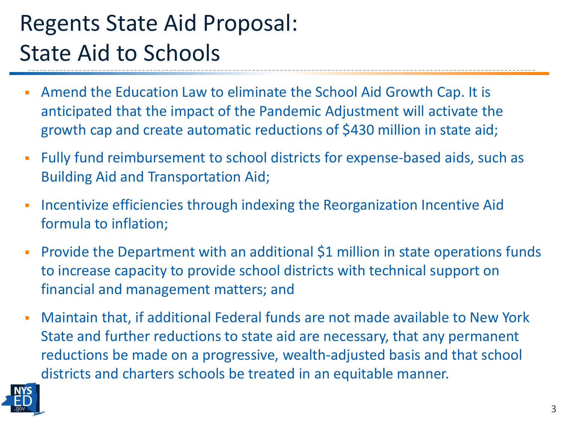# Regents State Aid Proposal: State Aid to Schools

- Amend the Education Law to eliminate the School Aid Growth Cap. It is anticipated that the impact of the Pandemic Adjustment will activate the growth cap and create automatic reductions of \$430 million in state aid;
- Fully fund reimbursement to school districts for expense-based aids, such as Building Aid and Transportation Aid;
- **Incentivize efficiencies through indexing the Reorganization Incentive Aid** formula to inflation;
- **Provide the Department with an additional \$1 million in state operations funds** to increase capacity to provide school districts with technical support on financial and management matters; and
- Maintain that, if additional Federal funds are not made available to New York State and further reductions to state aid are necessary, that any permanent reductions be made on a progressive, wealth-adjusted basis and that school districts and charters schools be treated in an equitable manner.

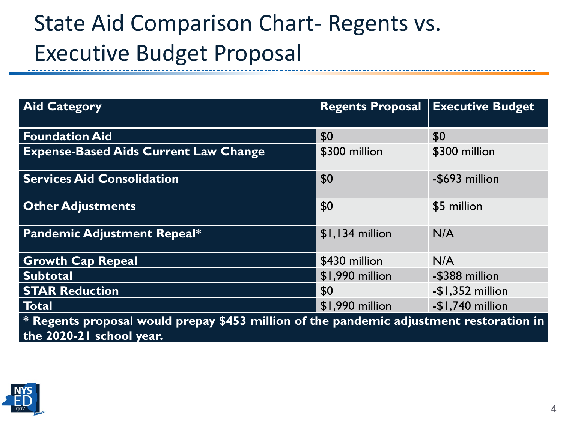# State Aid Comparison Chart- Regents vs. Executive Budget Proposal

| <b>Aid Category</b>                                                                                                   | <b>Regents Proposal</b> | <b>Executive Budget</b> |
|-----------------------------------------------------------------------------------------------------------------------|-------------------------|-------------------------|
| <b>Foundation Aid</b>                                                                                                 | \$0                     | \$0                     |
| <b>Expense-Based Aids Current Law Change</b>                                                                          | \$300 million           | \$300 million           |
| <b>Services Aid Consolidation</b>                                                                                     | \$0                     | -\$693 million          |
| <b>Other Adjustments</b>                                                                                              | \$0                     | \$5 million             |
| <b>Pandemic Adjustment Repeal*</b>                                                                                    | $$1,134$ million        | N/A                     |
| <b>Growth Cap Repeal</b>                                                                                              | \$430 million           | N/A                     |
| Subtotal                                                                                                              | \$1,990 million         | -\$388 million          |
| <b>STAR Reduction</b>                                                                                                 | \$0                     | $-$1,352$ million       |
| Total                                                                                                                 | \$1,990 million         | $-$1,740$ million       |
| $*$ Regents proposal would prepay \$453 million of the pandemic adjustment restoration in<br>the 2020-21 school year. |                         |                         |

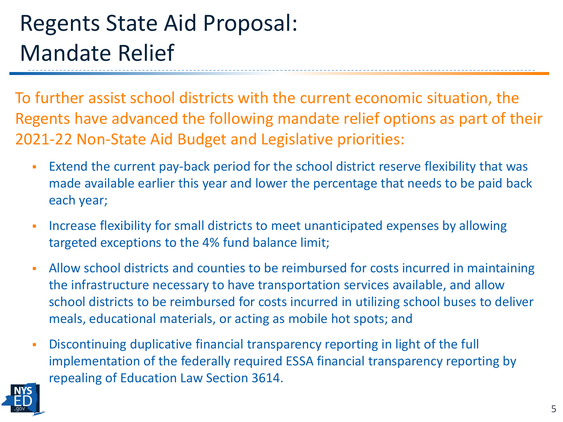# Regents State Aid Proposal: Mandate Relief

To further assist school districts with the current economic situation, the Regents have advanced the following mandate relief options as part of their 2021-22 Non-State Aid Budget and Legislative priorities:

- Extend the current pay-back period for the school district reserve flexibility that was made available earlier this year and lower the percentage that needs to be paid back each year;
- **Increase flexibility for small districts to meet unanticipated expenses by allowing** targeted exceptions to the 4% fund balance limit;
- Allow school districts and counties to be reimbursed for costs incurred in maintaining the infrastructure necessary to have transportation services available, and allow school districts to be reimbursed for costs incurred in utilizing school buses to deliver meals, educational materials, or acting as mobile hot spots; and
- Discontinuing duplicative financial transparency reporting in light of the full implementation of the federally required ESSA financial transparency reporting by repealing of Education Law Section 3614.

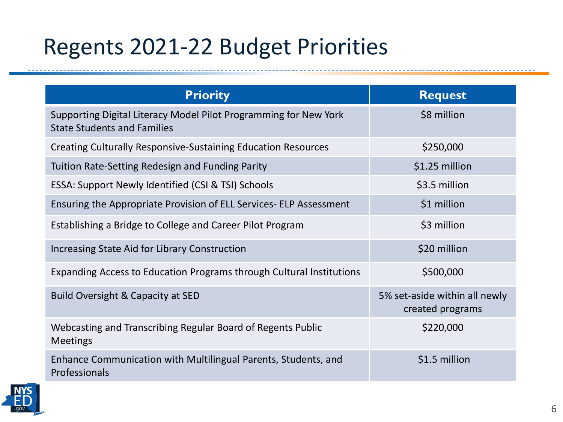# Regents 2021-22 Budget Priorities

| <b>Priority</b>                                                                                        | <b>Request</b>                                    |
|--------------------------------------------------------------------------------------------------------|---------------------------------------------------|
| Supporting Digital Literacy Model Pilot Programming for New York<br><b>State Students and Families</b> | \$8 million                                       |
| <b>Creating Culturally Responsive-Sustaining Education Resources</b>                                   | \$250,000                                         |
| Tuition Rate-Setting Redesign and Funding Parity                                                       | \$1.25 million                                    |
| ESSA: Support Newly Identified (CSI & TSI) Schools                                                     | \$3.5 million                                     |
| Ensuring the Appropriate Provision of ELL Services- ELP Assessment                                     | \$1 million                                       |
| Establishing a Bridge to College and Career Pilot Program                                              | \$3 million                                       |
| Increasing State Aid for Library Construction                                                          | \$20 million                                      |
| Expanding Access to Education Programs through Cultural Institutions                                   | \$500,000                                         |
| Build Oversight & Capacity at SED                                                                      | 5% set-aside within all newly<br>created programs |
| Webcasting and Transcribing Regular Board of Regents Public<br><b>Meetings</b>                         | \$220,000                                         |
| Enhance Communication with Multilingual Parents, Students, and<br>Professionals                        | \$1.5 million                                     |



----------------

---------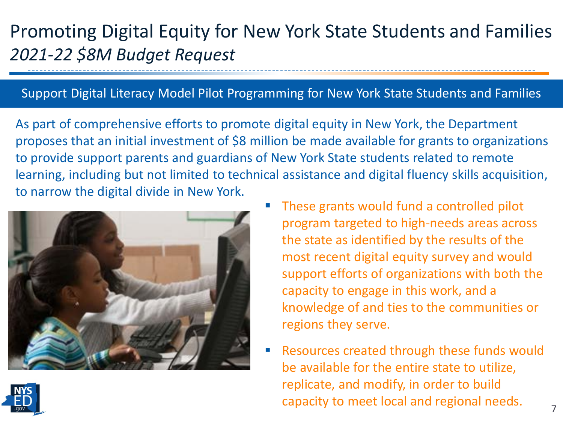### Promoting Digital Equity for New York State Students and Families *2021-22 \$8M Budget Request*

#### Support Digital Literacy Model Pilot Programming for New York State Students and Families

As part of comprehensive efforts to promote digital equity in New York, the Department proposes that an initial investment of \$8 million be made available for grants to organizations to provide support parents and guardians of New York State students related to remote learning, including but not limited to technical assistance and digital fluency skills acquisition, to narrow the digital divide in New York.



- These grants would fund a controlled pilot program targeted to high-needs areas across the state as identified by the results of the most recent digital equity survey and would support efforts of organizations with both the capacity to engage in this work, and a knowledge of and ties to the communities or regions they serve.
- Resources created through these funds would be available for the entire state to utilize, replicate, and modify, in order to build capacity to meet local and regional needs.

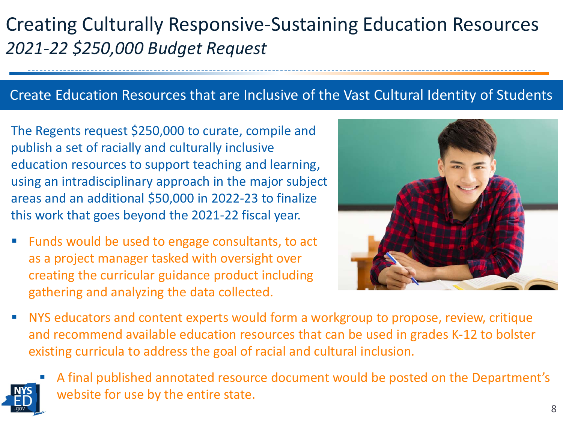### Creating Culturally Responsive-Sustaining Education Resources *2021-22 \$250,000 Budget Request*

#### Create Education Resources that are Inclusive of the Vast Cultural Identity of Students

The Regents request \$250,000 to curate, compile and publish a set of racially and culturally inclusive education resources to support teaching and learning, using an intradisciplinary approach in the major subject areas and an additional \$50,000 in 2022-23 to finalize this work that goes beyond the 2021-22 fiscal year.

 Funds would be used to engage consultants, to act as a project manager tasked with oversight over creating the curricular guidance product including gathering and analyzing the data collected.



 NYS educators and content experts would form a workgroup to propose, review, critique and recommend available education resources that can be used in grades K-12 to bolster existing curricula to address the goal of racial and cultural inclusion.



 A final published annotated resource document would be posted on the Department's website for use by the entire state.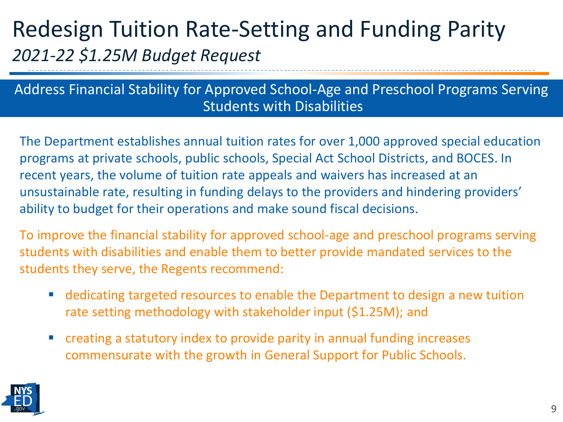### Redesign Tuition Rate-Setting and Funding Parity *2021-22 \$1.25M Budget Request*

#### Address Financial Stability for Approved School-Age and Preschool Programs Serving Students with Disabilities

The Department establishes annual tuition rates for over 1,000 approved special education programs at private schools, public schools, Special Act School Districts, and BOCES. In recent years, the volume of tuition rate appeals and waivers has increased at an unsustainable rate, resulting in funding delays to the providers and hindering providers' ability to budget for their operations and make sound fiscal decisions.

To improve the financial stability for approved school-age and preschool programs serving students with disabilities and enable them to better provide mandated services to the students they serve, the Regents recommend:

- dedicating targeted resources to enable the Department to design a new tuition rate setting methodology with stakeholder input (\$1.25M); and
- creating a statutory index to provide parity in annual funding increases commensurate with the growth in General Support for Public Schools.

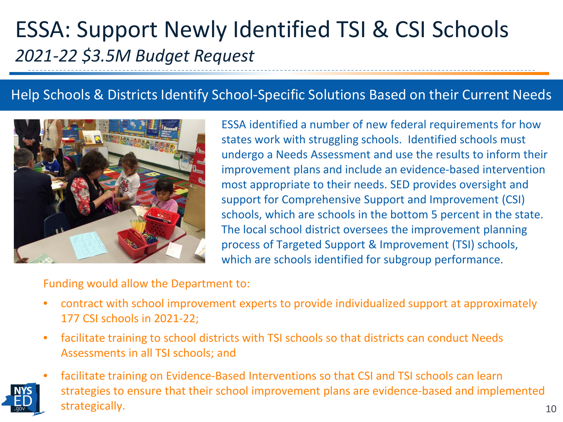### ESSA: Support Newly Identified TSI & CSI Schools *2021-22 \$3.5M Budget Request*

#### Help Schools & Districts Identify School-Specific Solutions Based on their Current Needs



ESSA identified a number of new federal requirements for how states work with struggling schools. Identified schools must undergo a Needs Assessment and use the results to inform their improvement plans and include an evidence-based intervention most appropriate to their needs. SED provides oversight and support for Comprehensive Support and Improvement (CSI) schools, which are schools in the bottom 5 percent in the state. The local school district oversees the improvement planning process of Targeted Support & Improvement (TSI) schools, which are schools identified for subgroup performance.

Funding would allow the Department to:

- contract with school improvement experts to provide individualized support at approximately 177 CSI schools in 2021-22;
- facilitate training to school districts with TSI schools so that districts can conduct Needs Assessments in all TSI schools; and
- facilitate training on Evidence-Based Interventions so that CSI and TSI schools can learn strategies to ensure that their school improvement plans are evidence-based and implemented strategically.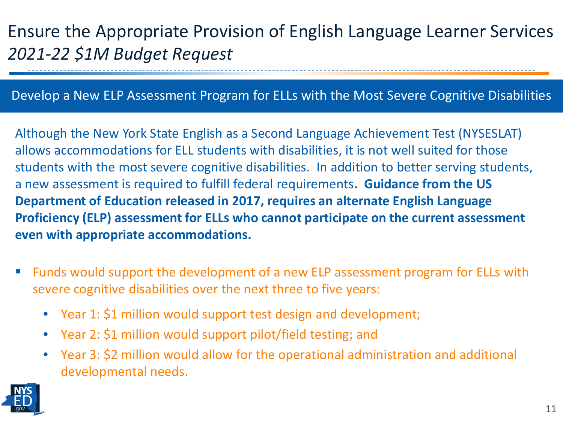### Ensure the Appropriate Provision of English Language Learner Services *2021-22 \$1M Budget Request*

#### Develop a New ELP Assessment Program for ELLs with the Most Severe Cognitive Disabilities

Although the New York State English as a Second Language Achievement Test (NYSESLAT) allows accommodations for ELL students with disabilities, it is not well suited for those students with the most severe cognitive disabilities. In addition to better serving students, a new assessment is required to fulfill federal requirements**. Guidance from the US Department of Education released in 2017, requires an alternate English Language Proficiency (ELP) assessment for ELLs who cannot participate on the current assessment even with appropriate accommodations.**

- Funds would support the development of a new ELP assessment program for ELLs with severe cognitive disabilities over the next three to five years:
	- Year 1: \$1 million would support test design and development;
	- Year 2: \$1 million would support pilot/field testing; and
	- Year 3: \$2 million would allow for the operational administration and additional developmental needs.

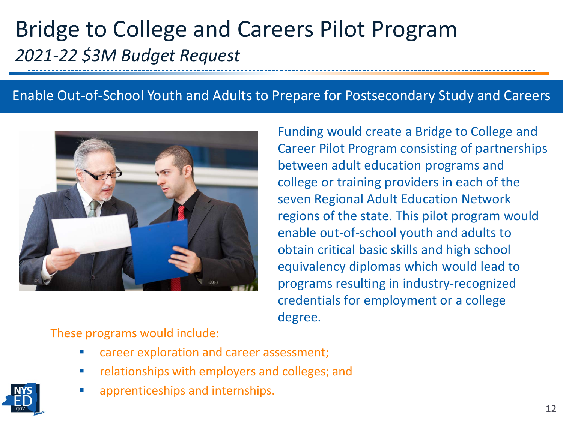### Bridge to College and Careers Pilot Program *2021-22 \$3M Budget Request*

#### Enable Out-of-School Youth and Adults to Prepare for Postsecondary Study and Careers



Funding would create a Bridge to College and Career Pilot Program consisting of partnerships between adult education programs and college or training providers in each of the seven Regional Adult Education Network regions of the state. This pilot program would enable out-of-school youth and adults to obtain critical basic skills and high school equivalency diplomas which would lead to programs resulting in industry-recognized credentials for employment or a college degree.

These programs would include:

- career exploration and career assessment;
- **F** relationships with employers and colleges; and
- apprenticeships and internships.

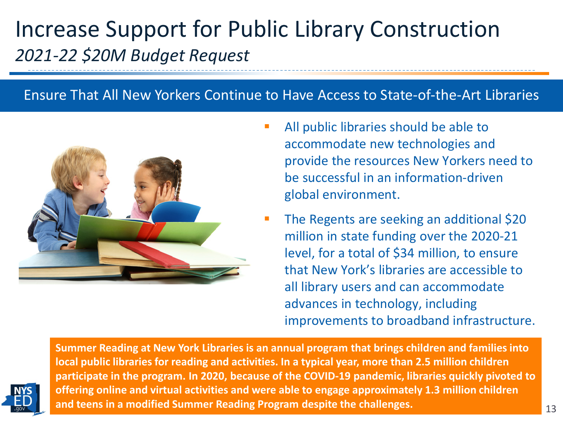### Increase Support for Public Library Construction *2021-22 \$20M Budget Request*

#### Ensure That All New Yorkers Continue to Have Access to State-of-the-Art Libraries



- All public libraries should be able to accommodate new technologies and provide the resources New Yorkers need to be successful in an information-driven global environment.
- The Regents are seeking an additional \$20 million in state funding over the 2020-21 level, for a total of \$34 million, to ensure that New York's libraries are accessible to all library users and can accommodate advances in technology, including improvements to broadband infrastructure.



**Summer Reading at New York Libraries is an annual program that brings children and families into local public libraries for reading and activities. In a typical year, more than 2.5 million children participate in the program. In 2020, because of the COVID-19 pandemic, libraries quickly pivoted to offering online and virtual activities and were able to engage approximately 1.3 million children and teens in a modified Summer Reading Program despite the challenges.**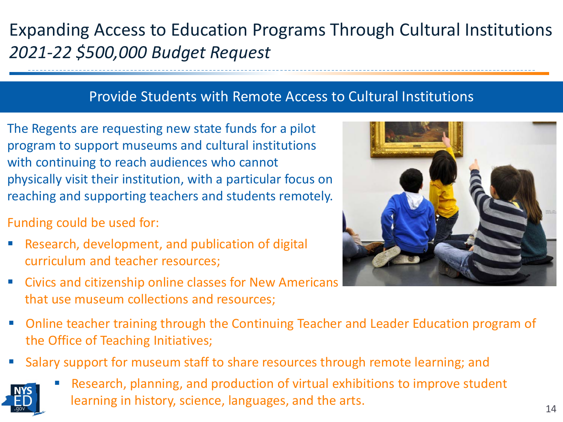### Expanding Access to Education Programs Through Cultural Institutions *2021-22 \$500,000 Budget Request*

#### Provide Students with Remote Access to Cultural Institutions

The Regents are requesting new state funds for a pilot program to support museums and cultural institutions with continuing to reach audiences who cannot physically visit their institution, with a particular focus on reaching and supporting teachers and students remotely.

Funding could be used for:

- Research, development, and publication of digital curriculum and teacher resources;
- Civics and citizenship online classes for New Americans that use museum collections and resources;



- Online teacher training through the Continuing Teacher and Leader Education program of the Office of Teaching Initiatives;
- Salary support for museum staff to share resources through remote learning; and



 Research, planning, and production of virtual exhibitions to improve student learning in history, science, languages, and the arts.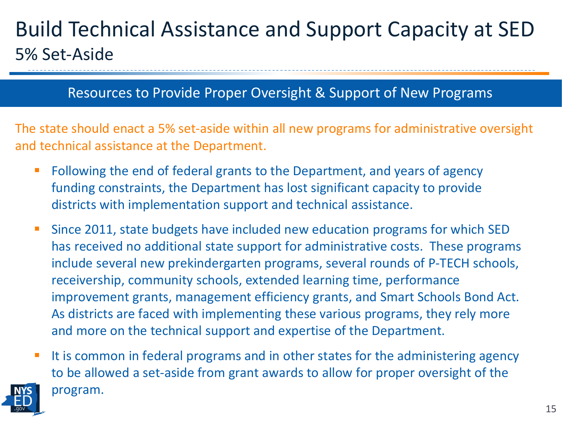### Build Technical Assistance and Support Capacity at SED 5% Set-Aside

#### Resources to Provide Proper Oversight & Support of New Programs

The state should enact a 5% set-aside within all new programs for administrative oversight and technical assistance at the Department.

- Following the end of federal grants to the Department, and years of agency funding constraints, the Department has lost significant capacity to provide districts with implementation support and technical assistance.
- Since 2011, state budgets have included new education programs for which SED has received no additional state support for administrative costs. These programs include several new prekindergarten programs, several rounds of P-TECH schools, receivership, community schools, extended learning time, performance improvement grants, management efficiency grants, and Smart Schools Bond Act. As districts are faced with implementing these various programs, they rely more and more on the technical support and expertise of the Department.
- It is common in federal programs and in other states for the administering agency to be allowed a set-aside from grant awards to allow for proper oversight of the program.

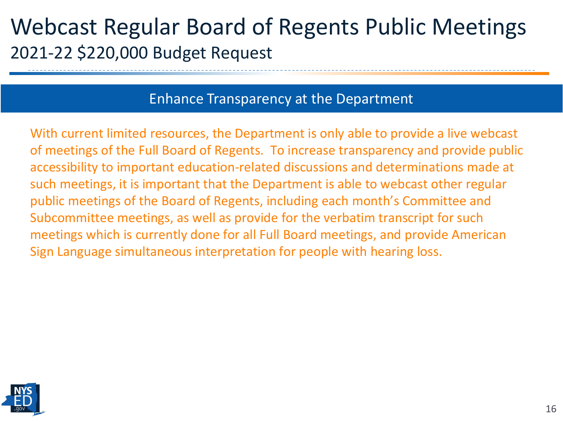### Webcast Regular Board of Regents Public Meetings 2021-22 \$220,000 Budget Request

#### Enhance Transparency at the Department

With current limited resources, the Department is only able to provide a live webcast of meetings of the Full Board of Regents. To increase transparency and provide public accessibility to important education-related discussions and determinations made at such meetings, it is important that the Department is able to webcast other regular public meetings of the Board of Regents, including each month's Committee and Subcommittee meetings, as well as provide for the verbatim transcript for such meetings which is currently done for all Full Board meetings, and provide American Sign Language simultaneous interpretation for people with hearing loss.

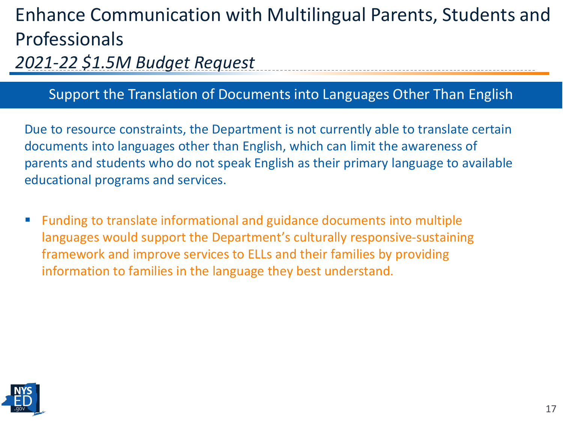### Enhance Communication with Multilingual Parents, Students and Professionals

*2021-22 \$1.5M Budget Request* 

#### Support the Translation of Documents into Languages Other Than English

Due to resource constraints, the Department is not currently able to translate certain documents into languages other than English, which can limit the awareness of parents and students who do not speak English as their primary language to available educational programs and services.

 Funding to translate informational and guidance documents into multiple languages would support the Department's culturally responsive-sustaining framework and improve services to ELLs and their families by providing information to families in the language they best understand.

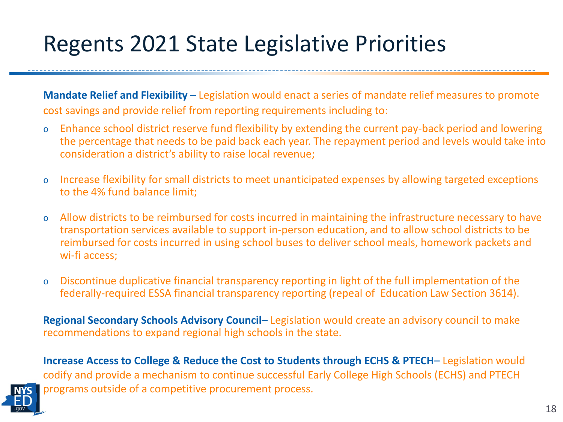# Regents 2021 State Legislative Priorities

**Mandate Relief and Flexibility** – Legislation would enact a series of mandate relief measures to promote cost savings and provide relief from reporting requirements including to:

- o Enhance school district reserve fund flexibility by extending the current pay-back period and lowering the percentage that needs to be paid back each year. The repayment period and levels would take into consideration a district's ability to raise local revenue;
- o Increase flexibility for small districts to meet unanticipated expenses by allowing targeted exceptions to the 4% fund balance limit;
- o Allow districts to be reimbursed for costs incurred in maintaining the infrastructure necessary to have transportation services available to support in-person education, and to allow school districts to be reimbursed for costs incurred in using school buses to deliver school meals, homework packets and wi-fi access;
- o Discontinue duplicative financial transparency reporting in light of the full implementation of the federally-required ESSA financial transparency reporting (repeal of Education Law Section 3614).

**Regional Secondary Schools Advisory Council**– Legislation would create an advisory council to make recommendations to expand regional high schools in the state.

**Increase Access to College & Reduce the Cost to Students through ECHS & PTECH**– Legislation would codify and provide a mechanism to continue successful Early College High Schools (ECHS) and PTECH programs outside of a competitive procurement process.

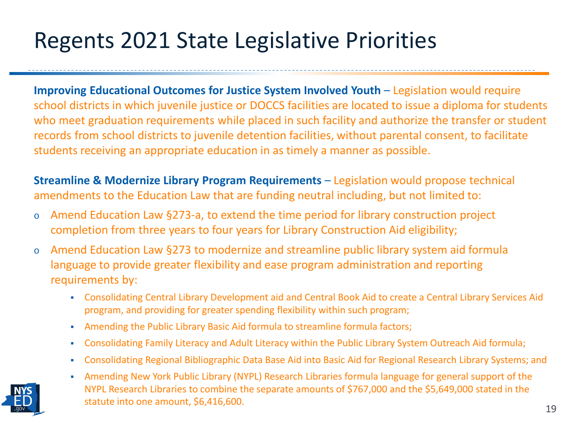# Regents 2021 State Legislative Priorities

**Improving Educational Outcomes for Justice System Involved Youth – Legislation would require** school districts in which juvenile justice or DOCCS facilities are located to issue a diploma for students who meet graduation requirements while placed in such facility and authorize the transfer or student records from school districts to juvenile detention facilities, without parental consent, to facilitate students receiving an appropriate education in as timely a manner as possible.

**Streamline & Modernize Library Program Requirements** – Legislation would propose technical amendments to the Education Law that are funding neutral including, but not limited to:

- o Amend Education Law §273-a, to extend the time period for library construction project completion from three years to four years for Library Construction Aid eligibility;
- o Amend Education Law §273 to modernize and streamline public library system aid formula language to provide greater flexibility and ease program administration and reporting requirements by:
	- Consolidating Central Library Development aid and Central Book Aid to create a Central Library Services Aid program, and providing for greater spending flexibility within such program;
	- Amending the Public Library Basic Aid formula to streamline formula factors;
	- Consolidating Family Literacy and Adult Literacy within the Public Library System Outreach Aid formula;
	- Consolidating Regional Bibliographic Data Base Aid into Basic Aid for Regional Research Library Systems; and
	- Amending New York Public Library (NYPL) Research Libraries formula language for general support of the NYPL Research Libraries to combine the separate amounts of \$767,000 and the \$5,649,000 stated in the statute into one amount, \$6,416,600. 19